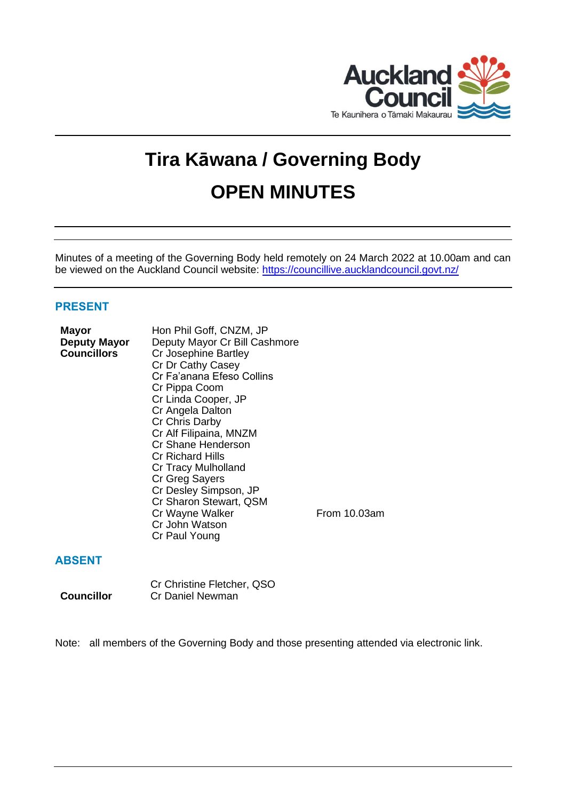

# **Tira Kāwana / Governing Body OPEN MINUTES**

Minutes of a meeting of the Governing Body held remotely on 24 March 2022 at 10.00am and can be viewed on the Auckland Council website:<https://councillive.aucklandcouncil.govt.nz/>

# **PRESENT**

| Mayor              | Hon Phil Goff, CNZM, JP       |    |
|--------------------|-------------------------------|----|
| Deputy Mayor       | Deputy Mayor Cr Bill Cashmore |    |
| <b>Councillors</b> | Cr Josephine Bartley          |    |
|                    | Cr Dr Cathy Casey             |    |
|                    | Cr Fa'anana Efeso Collins     |    |
|                    | Cr Pippa Coom                 |    |
|                    | Cr Linda Cooper, JP           |    |
|                    | Cr Angela Dalton              |    |
|                    | Cr Chris Darby                |    |
|                    | Cr Alf Filipaina, MNZM        |    |
|                    | Cr Shane Henderson            |    |
|                    | <b>Cr Richard Hills</b>       |    |
|                    | Cr Tracy Mulholland           |    |
|                    | Cr Greg Sayers                |    |
|                    | Cr Desley Simpson, JP         |    |
|                    | Cr Sharon Stewart, QSM        |    |
|                    | Cr Wayne Walker               | Eı |
|                    | Cr John Watson                |    |
|                    | Cr Paul Young                 |    |
|                    |                               |    |

 $rom 10.03$ am

# **ABSENT**

Cr Christine Fletcher, QSO **Councillor** Cr Daniel Newman

Note: all members of the Governing Body and those presenting attended via electronic link.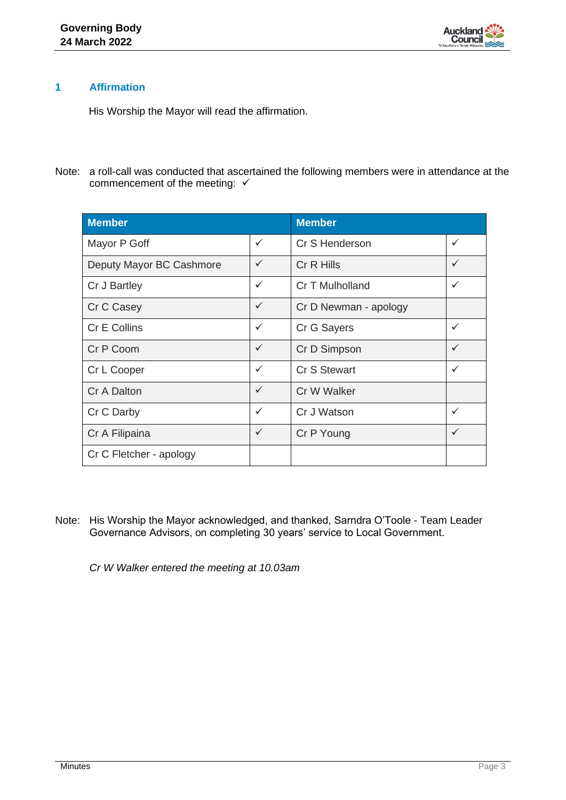

# **1 Affirmation**

His Worship the Mayor will read the affirmation.

Note: a roll-call was conducted that ascertained the following members were in attendance at the commencement of the meeting: √

| <b>Member</b>            |              | <b>Member</b>         |              |
|--------------------------|--------------|-----------------------|--------------|
| Mayor P Goff             | $\checkmark$ | Cr S Henderson        | $\checkmark$ |
| Deputy Mayor BC Cashmore | $\checkmark$ | Cr R Hills            | $\checkmark$ |
| Cr J Bartley             | $\checkmark$ | Cr T Mulholland       | $\checkmark$ |
| Cr C Casey               | $\checkmark$ | Cr D Newman - apology |              |
| Cr E Collins             | $\checkmark$ | Cr G Sayers           | $\checkmark$ |
| Cr P Coom                | $\checkmark$ | Cr D Simpson          | $\checkmark$ |
| Cr L Cooper              | $\checkmark$ | <b>Cr S Stewart</b>   | $\checkmark$ |
| Cr A Dalton              | $\checkmark$ | Cr W Walker           |              |
| Cr C Darby               | $\checkmark$ | Cr J Watson           | $\checkmark$ |
| Cr A Filipaina           | $\checkmark$ | Cr P Young            | $\checkmark$ |
| Cr C Fletcher - apology  |              |                       |              |

Note: His Worship the Mayor acknowledged, and thanked, Sarndra O'Toole - Team Leader Governance Advisors, on completing 30 years' service to Local Government.

*Cr W Walker entered the meeting at 10.03am*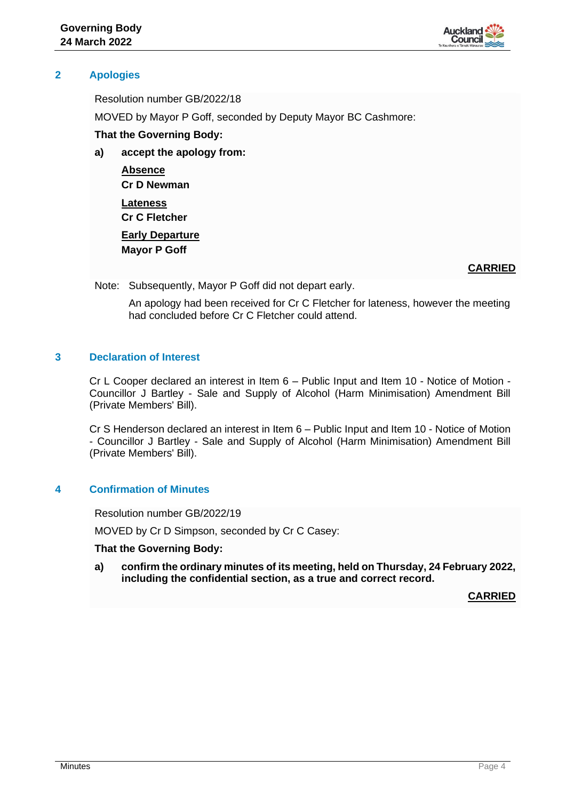

# **2 Apologies**

Resolution number GB/2022/18

MOVED by Mayor P Goff, seconded by Deputy Mayor BC Cashmore:

# **That the Governing Body:**

**a) accept the apology from:**

**Absence Cr D Newman Lateness Cr C Fletcher Early Departure Mayor P Goff**

# **CARRIED**

Note: Subsequently, Mayor P Goff did not depart early.

An apology had been received for Cr C Fletcher for lateness, however the meeting had concluded before Cr C Fletcher could attend.

# **3 Declaration of Interest**

Cr L Cooper declared an interest in Item 6 – Public Input and Item 10 - Notice of Motion - Councillor J Bartley - Sale and Supply of Alcohol (Harm Minimisation) Amendment Bill (Private Members' Bill).

Cr S Henderson declared an interest in Item 6 – Public Input and Item 10 - Notice of Motion - Councillor J Bartley - Sale and Supply of Alcohol (Harm Minimisation) Amendment Bill (Private Members' Bill).

# **4 Confirmation of Minutes**

Resolution number GB/2022/19

MOVED by Cr D Simpson, seconded by Cr C Casey:

#### **That the Governing Body:**

**a) confirm the ordinary minutes of its meeting, held on Thursday, 24 February 2022, including the confidential section, as a true and correct record.**

**CARRIED**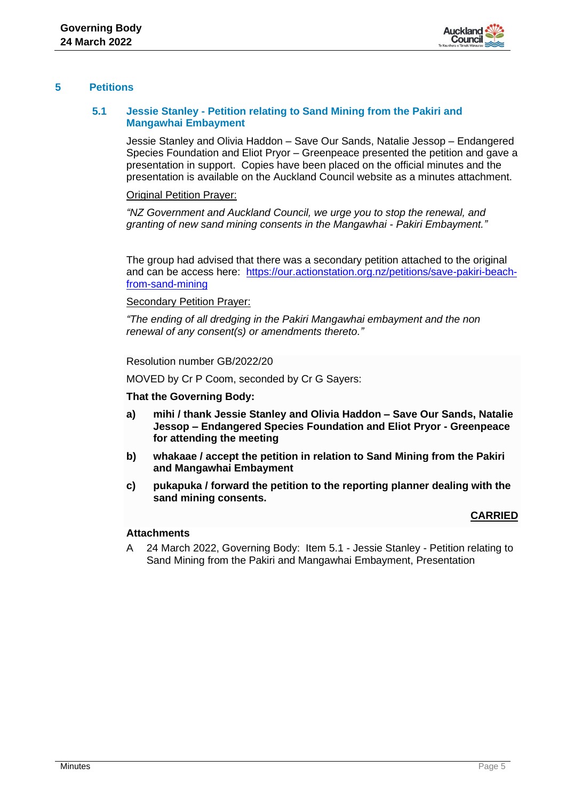

# **5 Petitions**

# **5.1 Jessie Stanley - Petition relating to Sand Mining from the Pakiri and Mangawhai Embayment**

Jessie Stanley and Olivia Haddon – Save Our Sands, Natalie Jessop – Endangered Species Foundation and Eliot Pryor – Greenpeace presented the petition and gave a presentation in support. Copies have been placed on the official minutes and the presentation is available on the Auckland Council website as a minutes attachment.

## Original Petition Prayer:

*"NZ Government and Auckland Council, we urge you to stop the renewal, and granting of new sand mining consents in the Mangawhai - Pakiri Embayment."*

The group had advised that there was a secondary petition attached to the original and can be access here: [https://our.actionstation.org.nz/petitions/save-pakiri-beach](https://our.actionstation.org.nz/petitions/save-pakiri-beach-from-sand-mining)[from-sand-mining](https://our.actionstation.org.nz/petitions/save-pakiri-beach-from-sand-mining)

#### Secondary Petition Prayer:

*"The ending of all dredging in the Pakiri Mangawhai embayment and the non renewal of any consent(s) or amendments thereto."*

Resolution number GB/2022/20

MOVED by Cr P Coom, seconded by Cr G Sayers:

#### **That the Governing Body:**

- **a) mihi / thank Jessie Stanley and Olivia Haddon – Save Our Sands, Natalie Jessop – Endangered Species Foundation and Eliot Pryor - Greenpeace for attending the meeting**
- **b) whakaae / accept the petition in relation to Sand Mining from the Pakiri and Mangawhai Embayment**
- **c) pukapuka / forward the petition to the reporting planner dealing with the sand mining consents.**

# **CARRIED**

#### **Attachments**

A 24 March 2022, Governing Body: Item 5.1 - Jessie Stanley - Petition relating to Sand Mining from the Pakiri and Mangawhai Embayment, Presentation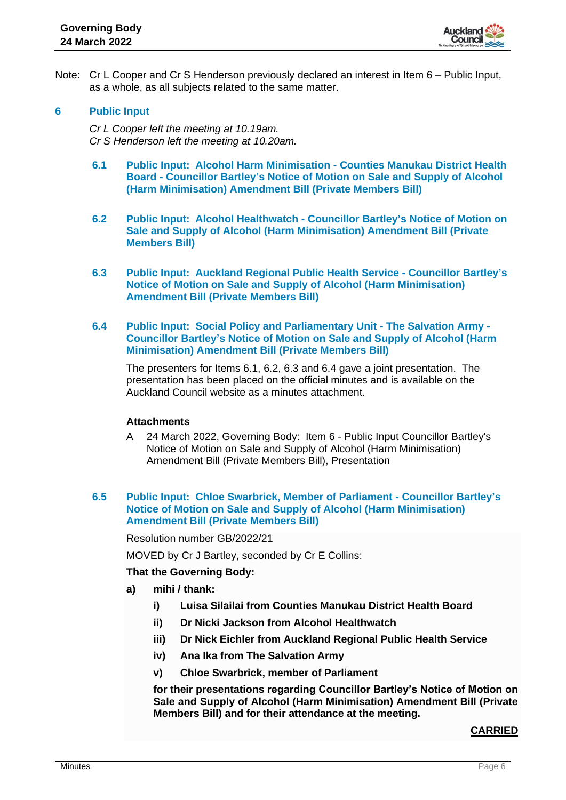

Note: Cr L Cooper and Cr S Henderson previously declared an interest in Item 6 – Public Input, as a whole, as all subjects related to the same matter.

#### **6 Public Input**

*Cr L Cooper left the meeting at 10.19am. Cr S Henderson left the meeting at 10.20am.*

- **6.1 Public Input: Alcohol Harm Minimisation - Counties Manukau District Health Board - Councillor Bartley's Notice of Motion on Sale and Supply of Alcohol (Harm Minimisation) Amendment Bill (Private Members Bill)**
- **6.2 Public Input: Alcohol Healthwatch - Councillor Bartley's Notice of Motion on Sale and Supply of Alcohol (Harm Minimisation) Amendment Bill (Private Members Bill)**
- **6.3 Public Input: Auckland Regional Public Health Service - Councillor Bartley's Notice of Motion on Sale and Supply of Alcohol (Harm Minimisation) Amendment Bill (Private Members Bill)**
- **6.4 Public Input: Social Policy and Parliamentary Unit - The Salvation Army - Councillor Bartley's Notice of Motion on Sale and Supply of Alcohol (Harm Minimisation) Amendment Bill (Private Members Bill)**

The presenters for Items 6.1, 6.2, 6.3 and 6.4 gave a joint presentation. The presentation has been placed on the official minutes and is available on the Auckland Council website as a minutes attachment.

#### **Attachments**

A 24 March 2022, Governing Body: Item 6 - Public Input Councillor Bartley's Notice of Motion on Sale and Supply of Alcohol (Harm Minimisation) Amendment Bill (Private Members Bill), Presentation

#### **6.5 Public Input: Chloe Swarbrick, Member of Parliament - Councillor Bartley's Notice of Motion on Sale and Supply of Alcohol (Harm Minimisation) Amendment Bill (Private Members Bill)**

Resolution number GB/2022/21

MOVED by Cr J Bartley, seconded by Cr E Collins:

#### **That the Governing Body:**

- **a) mihi / thank:**
	- **i) Luisa Silailai from Counties Manukau District Health Board**
	- **ii) Dr Nicki Jackson from Alcohol Healthwatch**
	- **iii) Dr Nick Eichler from Auckland Regional Public Health Service**
	- **iv) Ana Ika from The Salvation Army**
	- **v) Chloe Swarbrick, member of Parliament**

**for their presentations regarding Councillor Bartley's Notice of Motion on Sale and Supply of Alcohol (Harm Minimisation) Amendment Bill (Private Members Bill) and for their attendance at the meeting.**

#### **CARRIED**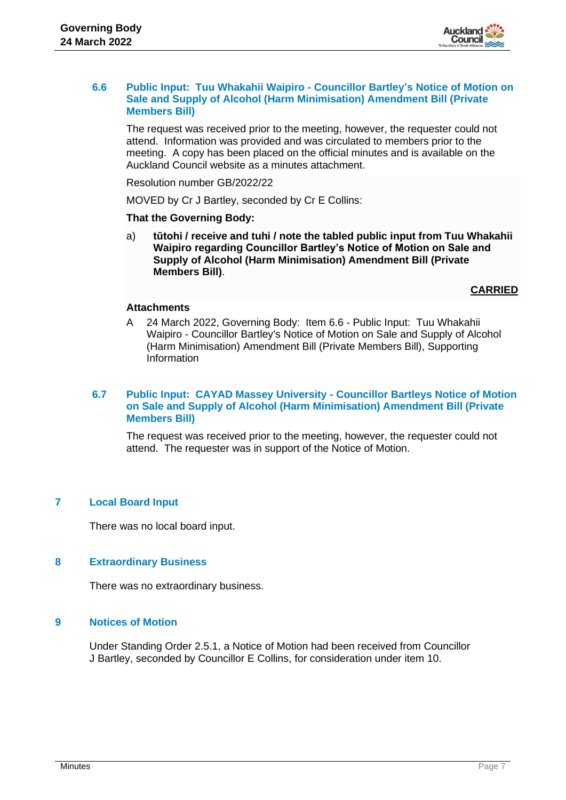

#### **6.6 Public Input: Tuu Whakahii Waipiro - Councillor Bartley's Notice of Motion on Sale and Supply of Alcohol (Harm Minimisation) Amendment Bill (Private Members Bill)**

The request was received prior to the meeting, however, the requester could not attend. Information was provided and was circulated to members prior to the meeting. A copy has been placed on the official minutes and is available on the Auckland Council website as a minutes attachment.

Resolution number GB/2022/22

MOVED by Cr J Bartley, seconded by Cr E Collins:

#### **That the Governing Body:**

a) **tūtohi / receive and tuhi / note the tabled public input from Tuu Whakahii Waipiro regarding Councillor Bartley's Notice of Motion on Sale and Supply of Alcohol (Harm Minimisation) Amendment Bill (Private Members Bill)**.

**CARRIED**

# **Attachments**

A 24 March 2022, Governing Body: Item 6.6 - Public Input: Tuu Whakahii Waipiro - Councillor Bartley's Notice of Motion on Sale and Supply of Alcohol (Harm Minimisation) Amendment Bill (Private Members Bill), Supporting Information

# **6.7 Public Input: CAYAD Massey University - Councillor Bartleys Notice of Motion on Sale and Supply of Alcohol (Harm Minimisation) Amendment Bill (Private Members Bill)**

The request was received prior to the meeting, however, the requester could not attend. The requester was in support of the Notice of Motion.

# **7 Local Board Input**

There was no local board input.

# **8 Extraordinary Business**

There was no extraordinary business.

## **9 Notices of Motion**

Under Standing Order 2.5.1, a Notice of Motion had been received from Councillor J Bartley, seconded by Councillor E Collins, for consideration under item 10.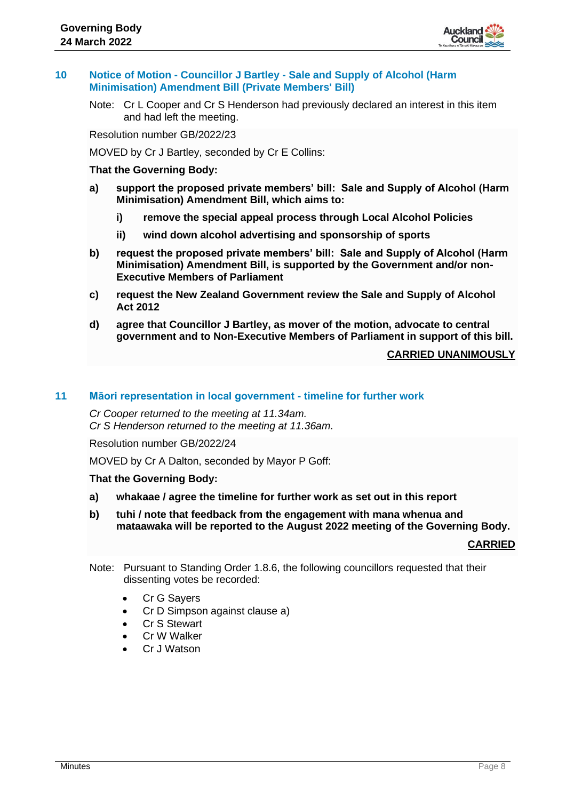

## **10 Notice of Motion - Councillor J Bartley - Sale and Supply of Alcohol (Harm Minimisation) Amendment Bill (Private Members' Bill)**

Note: Cr L Cooper and Cr S Henderson had previously declared an interest in this item and had left the meeting.

Resolution number GB/2022/23

MOVED by Cr J Bartley, seconded by Cr E Collins:

## **That the Governing Body:**

- **a) support the proposed private members' bill: Sale and Supply of Alcohol (Harm Minimisation) Amendment Bill, which aims to:**
	- **i) remove the special appeal process through Local Alcohol Policies**
	- **ii) wind down alcohol advertising and sponsorship of sports**
- **b) request the proposed private members' bill: Sale and Supply of Alcohol (Harm Minimisation) Amendment Bill, is supported by the Government and/or non-Executive Members of Parliament**
- **c) request the New Zealand Government review the Sale and Supply of Alcohol Act 2012**
- **d) agree that Councillor J Bartley, as mover of the motion, advocate to central government and to Non-Executive Members of Parliament in support of this bill.**

## **CARRIED UNANIMOUSLY**

## **11 Māori representation in local government - timeline for further work**

*Cr Cooper returned to the meeting at 11.34am. Cr S Henderson returned to the meeting at 11.36am.*

Resolution number GB/2022/24

MOVED by Cr A Dalton, seconded by Mayor P Goff:

#### **That the Governing Body:**

- **a) whakaae / agree the timeline for further work as set out in this report**
- **b) tuhi / note that feedback from the engagement with mana whenua and mataawaka will be reported to the August 2022 meeting of the Governing Body.**

# **CARRIED**

- Note: Pursuant to Standing Order 1.8.6, the following councillors requested that their dissenting votes be recorded:
	- Cr G Sayers
	- Cr D Simpson against clause a)
	- Cr S Stewart
	- Cr W Walker
	- Cr J Watson